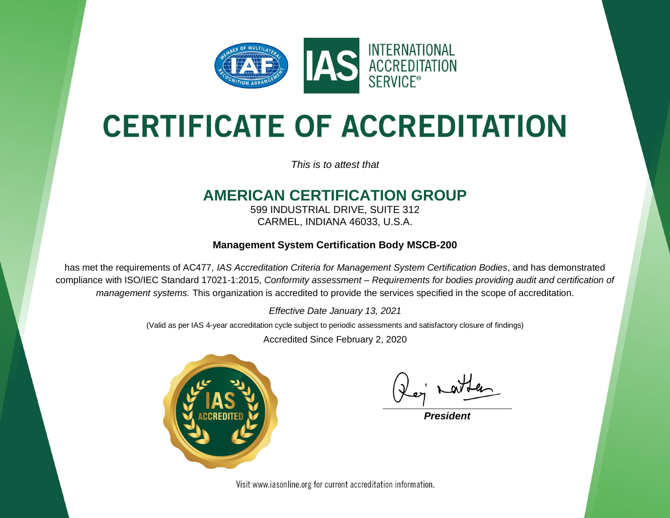

# **CERTIFICATE OF ACCREDITATION**

*This is to attest that*

### **AMERICAN CERTIFICATION GROUP**

599 INDUSTRIAL DRIVE, SUITE 312 CARMEL, INDIANA 46033, U.S.A.

#### **Management System Certification Body MSCB-200**

has met the requirements of AC477, *IAS Accreditation Criteria for Management System Certification Bodies*, and has demonstrated compliance with ISO/IEC Standard 17021-1:2015, *Conformity assessment – Requirements for bodies providing audit and certification of management systems.* This organization is accredited to provide the services specified in the scope of accreditation.

*Effective Date January 13, 2021*

(Valid as per IAS 4-year accreditation cycle subject to periodic assessments and satisfactory closure of findings)

Accredited Since February 2, 2020



**President** 

Visit www.iasonline.org for current accreditation information.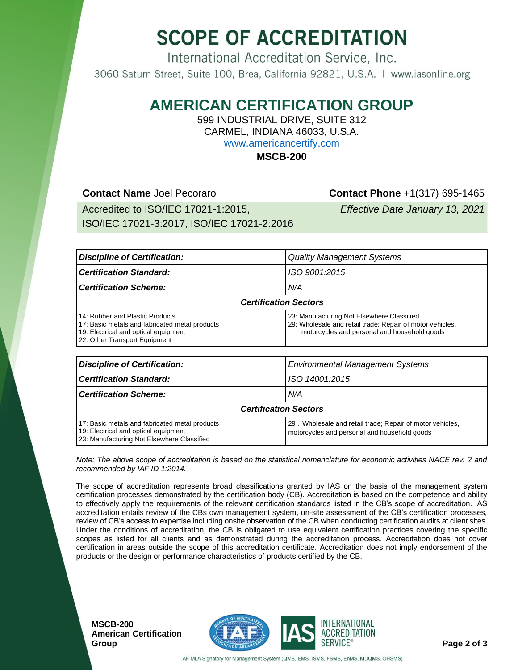## **SCOPE OF ACCREDITATION**

International Accreditation Service, Inc. 3060 Saturn Street, Suite 100, Brea, California 92821, U.S.A. | www.iasonline.org

### **AMERICAN CERTIFICATION GROUP**

599 INDUSTRIAL DRIVE, SUITE 312

CARMEL, INDIANA 46033, U.S.A.

[www.americancertify.com](https://www.americancertify.com/)

**MSCB-200**

#### **Contact Name** Joel Pecoraro **Contact Phone** +1(317) 695-1465

Accredited to ISO/IEC 17021-1:2015, ISO/IEC 17021-3:2017, ISO/IEC 17021-2:2016

*Effective Date January 13, 2021*

| <b>Discipline of Certification:</b>                                                                                                                        | <b>Quality Management Systems</b>                                                                                                                       |  |  |  |
|------------------------------------------------------------------------------------------------------------------------------------------------------------|---------------------------------------------------------------------------------------------------------------------------------------------------------|--|--|--|
| <b>Certification Standard:</b>                                                                                                                             | ISO 9001:2015                                                                                                                                           |  |  |  |
| <b>Certification Scheme:</b>                                                                                                                               | N/A                                                                                                                                                     |  |  |  |
| <b>Certification Sectors</b>                                                                                                                               |                                                                                                                                                         |  |  |  |
| 14: Rubber and Plastic Products<br>17: Basic metals and fabricated metal products<br>19: Electrical and optical equipment<br>22: Other Transport Equipment | 23: Manufacturing Not Elsewhere Classified<br>29: Wholesale and retail trade; Repair of motor vehicles,<br>motorcycles and personal and household goods |  |  |  |
| <b>Discipline of Certification:</b><br><b>Environmental Management Systems</b>                                                                             |                                                                                                                                                         |  |  |  |
| <b>Certification Standard:</b>                                                                                                                             | ISO 14001:2015                                                                                                                                          |  |  |  |
| <b>Certification Scheme:</b>                                                                                                                               | N/A                                                                                                                                                     |  |  |  |
| <b>Certification Sectors</b>                                                                                                                               |                                                                                                                                                         |  |  |  |
| 17: Basic metals and fabricated metal products                                                                                                             | 29 : Wholesale and retail trade; Repair of motor vehicles,                                                                                              |  |  |  |

*Note: The above scope of accreditation is based on the statistical nomenclature for economic activities NACE rev. 2 and recommended by IAF ID 1:2014.*

motorcycles and personal and household goods

The scope of accreditation represents broad classifications granted by IAS on the basis of the management system certification processes demonstrated by the certification body (CB). Accreditation is based on the competence and ability to effectively apply the requirements of the relevant certification standards listed in the CB's scope of accreditation. IAS accreditation entails review of the CBs own management system, on-site assessment of the CB's certification processes, review of CB's access to expertise including onsite observation of the CB when conducting certification audits at client sites. Under the conditions of accreditation, the CB is obligated to use equivalent certification practices covering the specific scopes as listed for all clients and as demonstrated during the accreditation process. Accreditation does not cover certification in areas outside the scope of this accreditation certificate. Accreditation does not imply endorsement of the products or the design or performance characteristics of products certified by the CB.

**MSCB-200 American Certification** 

19: Electrical and optical equipment 23: Manufacturing Not Elsewhere Classified